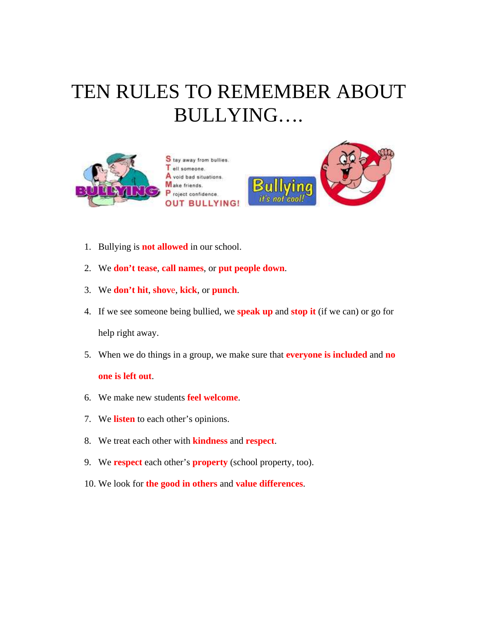## TEN RULES TO REMEMBER ABOUT BULLYING….



S tay away from bullies. ell someone. A void bad situations. Make friends. P roject confidence. **OUT BULLYING!** 



- 1. Bullying is **not allowed** in our school.
- 2. We **don't tease**, **call names**, or **put people down**.
- 3. We **don't hit**, **shov**e, **kick**, or **punch**.
- 4. If we see someone being bullied, we **speak up** and **stop it** (if we can) or go for help right away.
- 5. When we do things in a group, we make sure that **everyone is included** and **no**

## **one is left out**.

- 6. We make new students **feel welcome**.
- 7. We **listen** to each other's opinions.
- 8. We treat each other with **kindness** and **respect**.
- 9. We **respect** each other's **property** (school property, too).
- 10. We look for **the good in others** and **value differences**.